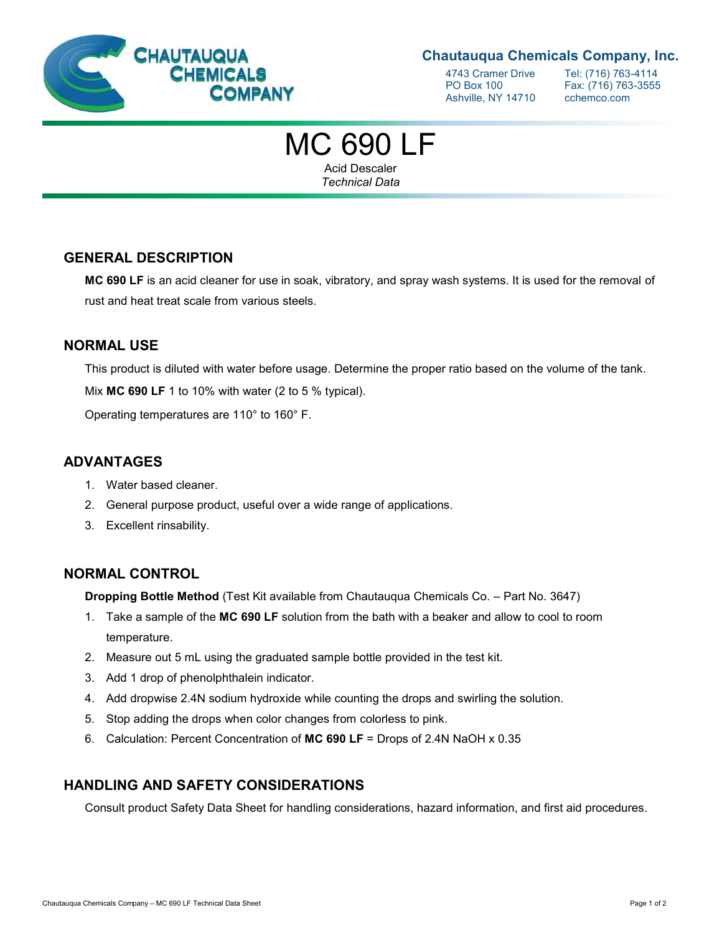

### **Chautauqua Chemicals Company, Inc.**

4743 Cramer Drive Tel: (716) 763-4114<br>PO Box 100 Fax: (716) 763-3555 Ashville, NY 14710 cchemco.com

Fax: (716) 763-3555

# MC 690 LF

Acid Descaler *Technical Data*

### **GENERAL DESCRIPTION**

**MC 690 LF** is an acid cleaner for use in soak, vibratory, and spray wash systems. It is used for the removal of rust and heat treat scale from various steels.

#### **NORMAL USE**

This product is diluted with water before usage. Determine the proper ratio based on the volume of the tank.

Mix **MC 690 LF** 1 to 10% with water (2 to 5 % typical).

Operating temperatures are 110° to 160° F.

### **ADVANTAGES**

- 1. Water based cleaner.
- 2. General purpose product, useful over a wide range of applications.
- 3. Excellent rinsability.

### **NORMAL CONTROL**

**Dropping Bottle Method** (Test Kit available from Chautauqua Chemicals Co. – Part No. 3647)

- 1. Take a sample of the **MC 690 LF** solution from the bath with a beaker and allow to cool to room temperature.
- 2. Measure out 5 mL using the graduated sample bottle provided in the test kit.
- 3. Add 1 drop of phenolphthalein indicator.
- 4. Add dropwise 2.4N sodium hydroxide while counting the drops and swirling the solution.
- 5. Stop adding the drops when color changes from colorless to pink.
- 6. Calculation: Percent Concentration of **MC 690 LF** = Drops of 2.4N NaOH x 0.35

#### **HANDLING AND SAFETY CONSIDERATIONS**

Consult product Safety Data Sheet for handling considerations, hazard information, and first aid procedures.